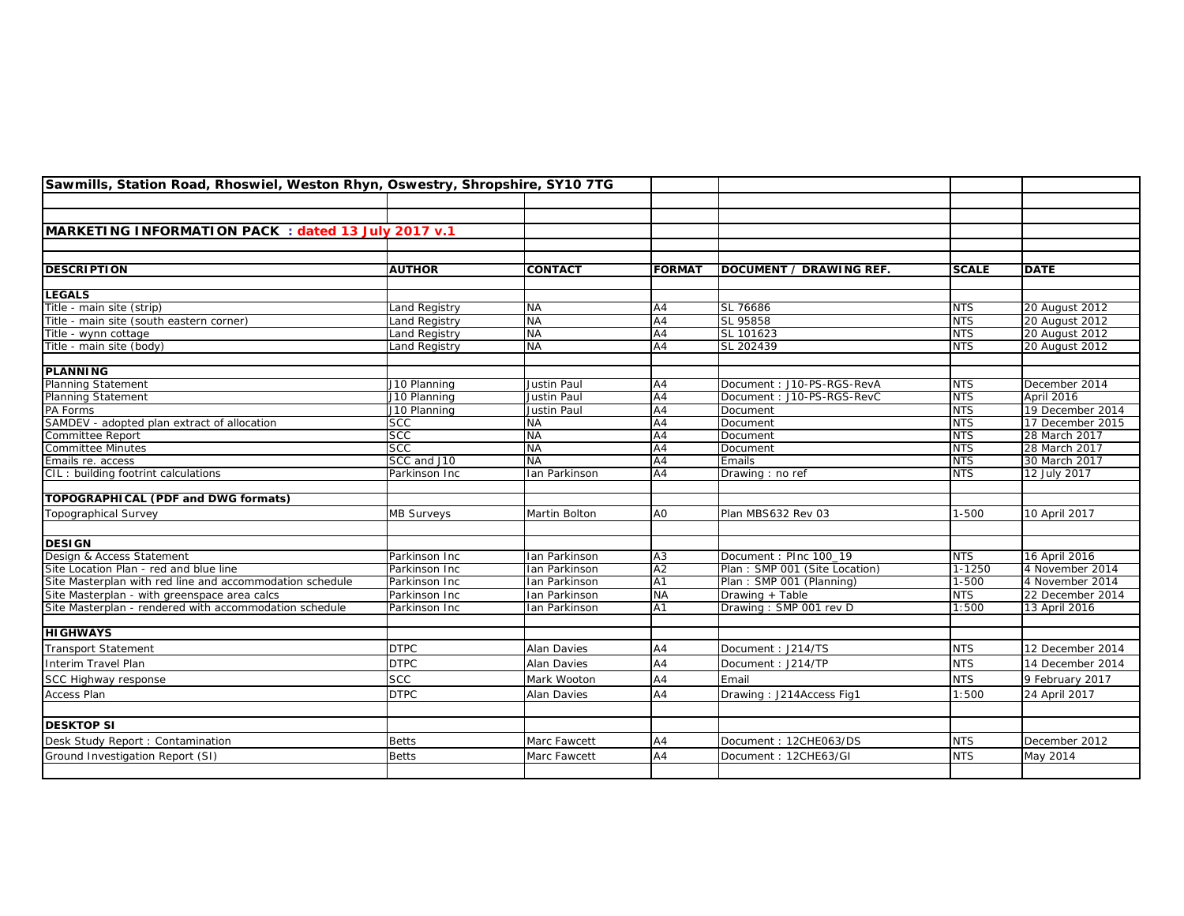| Sawmills, Station Road, Rhoswiel, Weston Rhyn, Oswestry, Shropshire, SY10 7TG |                   |                    |                 |                               |              |                  |
|-------------------------------------------------------------------------------|-------------------|--------------------|-----------------|-------------------------------|--------------|------------------|
|                                                                               |                   |                    |                 |                               |              |                  |
|                                                                               |                   |                    |                 |                               |              |                  |
| MARKETING INFORMATION PACK: dated 13 July 2017 v.1                            |                   |                    |                 |                               |              |                  |
|                                                                               |                   |                    |                 |                               |              |                  |
|                                                                               |                   |                    |                 |                               |              |                  |
| <b>DESCRIPTION</b>                                                            | <b>AUTHOR</b>     | <b>CONTACT</b>     | <b>FORMAT</b>   | DOCUMENT / DRAWING REF.       | <b>SCALE</b> | <b>DATE</b>      |
|                                                                               |                   |                    |                 |                               |              |                  |
| <b>LEGALS</b>                                                                 |                   |                    |                 |                               |              |                  |
| Title - main site (strip)                                                     | Land Registry     | <b>NA</b>          | A4              | SL 76686                      | <b>NTS</b>   | 20 August 2012   |
| Title - main site (south eastern corner)                                      | Land Registry     | <b>NA</b>          | $\overline{A4}$ | SL 95858                      | <b>NTS</b>   | 20 August 2012   |
| Title - wynn cottage                                                          | Land Registry     | <b>NA</b>          | $\overline{A4}$ | SL 101623                     | <b>NTS</b>   | 20 August 2012   |
| Title - main site (body)                                                      | Land Registry     | <b>NA</b>          | A4              | SL 202439                     | <b>NTS</b>   | 20 August 2012   |
| <b>PLANNING</b>                                                               |                   |                    |                 |                               |              |                  |
| Planning Statement                                                            | J10 Planning      | Justin Paul        | A4              | Document: J10-PS-RGS-RevA     | <b>NTS</b>   | December 2014    |
| <b>Planning Statement</b>                                                     | J10 Planning      | Justin Paul        | A4              | Document: J10-PS-RGS-RevC     | <b>NTS</b>   | April 2016       |
| PA Forms                                                                      | J10 Planning      | Justin Paul        | A4              | Document                      | <b>NTS</b>   | 19 December 2014 |
| SAMDEV - adopted plan extract of allocation                                   | <b>SCC</b>        | <b>NA</b>          | $\overline{A4}$ | Document                      | <b>NTS</b>   | 17 December 2015 |
| Committee Report                                                              | <b>SCC</b>        | <b>NA</b>          | AA              | Document                      | <b>NTS</b>   | 28 March 2017    |
| <b>Committee Minutes</b>                                                      | SCC               | <b>NA</b>          | A4              | Document                      | <b>NTS</b>   | 28 March 2017    |
| Emails re. access                                                             | SCC and J10       | <b>NA</b>          | A4              | Emails                        | <b>NTS</b>   | 30 March 2017    |
| CIL: building footrint calculations                                           | Parkinson Inc     | Ian Parkinson      | A4              | Drawing: no ref               | <b>NTS</b>   | 12 July 2017     |
|                                                                               |                   |                    |                 |                               |              |                  |
| TOPOGRAPHICAL (PDF and DWG formats)                                           |                   |                    |                 |                               |              |                  |
| <b>Topographical Survey</b>                                                   | <b>MB Surveys</b> | Martin Bolton      | A <sub>O</sub>  | Plan MBS632 Rev 03            | $1 - 500$    | 10 April 2017    |
|                                                                               |                   |                    |                 |                               |              |                  |
| <b>DESIGN</b>                                                                 |                   |                    |                 |                               |              |                  |
| Design & Access Statement                                                     | Parkinson Inc     | Ian Parkinson      | A <sub>3</sub>  | Document: PInc 100_19         | <b>NTS</b>   | 16 April 2016    |
| Site Location Plan - red and blue line                                        | Parkinson Inc     | Ian Parkinson      | $\overline{A2}$ | Plan: SMP 001 (Site Location) | $1 - 1250$   | 4 November 2014  |
| Site Masterplan with red line and accommodation schedule                      | Parkinson Inc     | Ian Parkinson      | A <sub>1</sub>  | Plan: SMP 001 (Planning)      | $1 - 500$    | 4 November 2014  |
| Site Masterplan - with greenspace area calcs                                  | Parkinson Inc     | Ian Parkinson      | <b>NA</b>       | Drawing + Table               | <b>NTS</b>   | 22 December 2014 |
| Site Masterplan - rendered with accommodation schedule                        | Parkinson Inc     | Ian Parkinson      | $\overline{A1}$ | Drawing: SMP 001 rev D        | 1:500        | 13 April 2016    |
|                                                                               |                   |                    |                 |                               |              |                  |
| <b>HIGHWAYS</b>                                                               |                   |                    |                 |                               |              |                  |
| <b>Transport Statement</b>                                                    | <b>DTPC</b>       | <b>Alan Davies</b> | A4              | Document: J214/TS             | <b>NTS</b>   | 12 December 2014 |
| Interim Travel Plan                                                           | <b>DTPC</b>       | <b>Alan Davies</b> | A4              | Document: J214/TP             | <b>NTS</b>   | 14 December 2014 |
| SCC Highway response                                                          | <b>SCC</b>        | Mark Wooton        | A4              | Email                         | <b>NTS</b>   | 9 February 2017  |
| Access Plan                                                                   | <b>DTPC</b>       | Alan Davies        | A4              | Drawing: J214Access Fig1      | 1:500        | 24 April 2017    |
|                                                                               |                   |                    |                 |                               |              |                  |
| <b>DESKTOP SI</b>                                                             |                   |                    |                 |                               |              |                  |
| Desk Study Report: Contamination                                              | <b>Betts</b>      | Marc Fawcett       | A4              | Document: 12CHE063/DS         | <b>NTS</b>   | December 2012    |
| Ground Investigation Report (SI)                                              | <b>Betts</b>      | Marc Fawcett       | A4              | Document: 12CHE63/GI          | <b>NTS</b>   | May 2014         |
|                                                                               |                   |                    |                 |                               |              |                  |